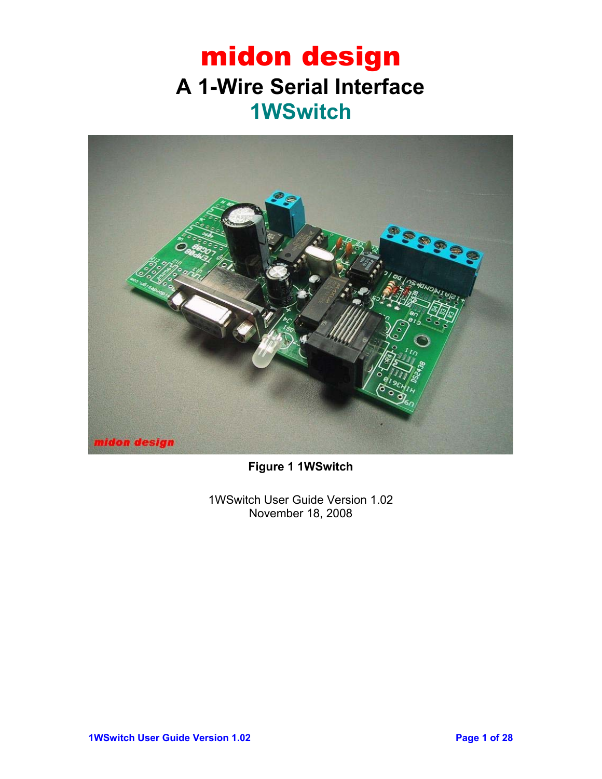## midon design **A 1-Wire Serial Interface 1WSwitch**



**Figure 1 1WSwitch** 

1WSwitch User Guide Version 1.02 November 18, 2008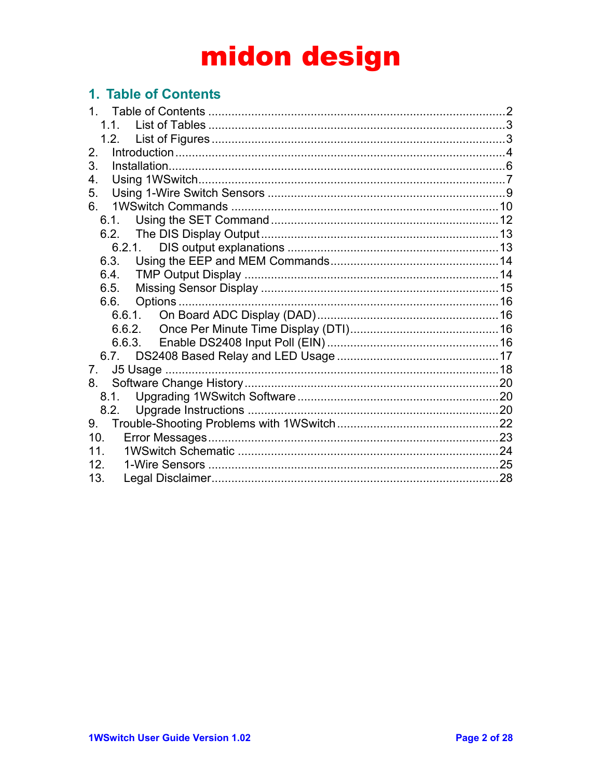### 1. Table of Contents

| 2.              |  |
|-----------------|--|
| 3.              |  |
| 4.              |  |
| 5.              |  |
| 6.              |  |
| 6.1.            |  |
|                 |  |
| 6.2.1.          |  |
| 6.3.            |  |
| 6.4.            |  |
| 6.5.            |  |
| 6.6.            |  |
|                 |  |
|                 |  |
|                 |  |
|                 |  |
| 7.              |  |
| 8.              |  |
|                 |  |
| 8.2.            |  |
| 9.              |  |
| 10 <sub>1</sub> |  |
| 11              |  |
| 12 <sup>°</sup> |  |
| 13.             |  |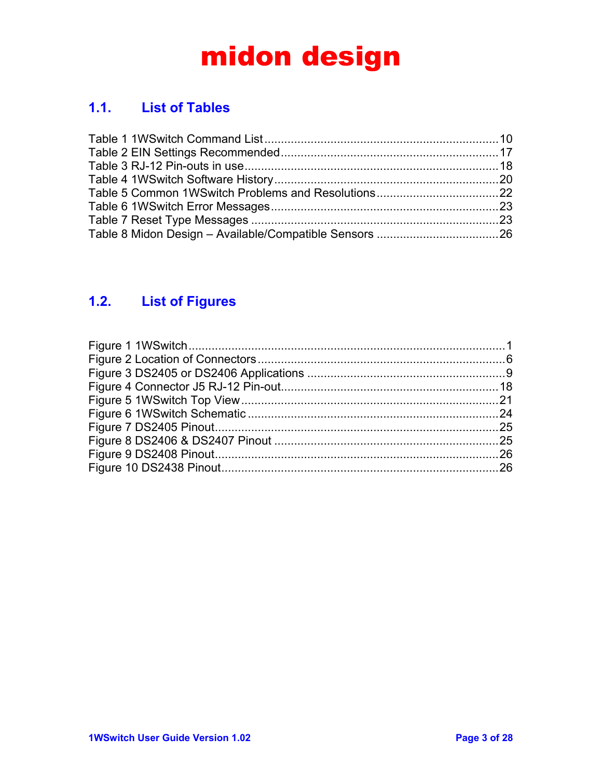### **1.1. List of Tables**

### **1.2. List of Figures**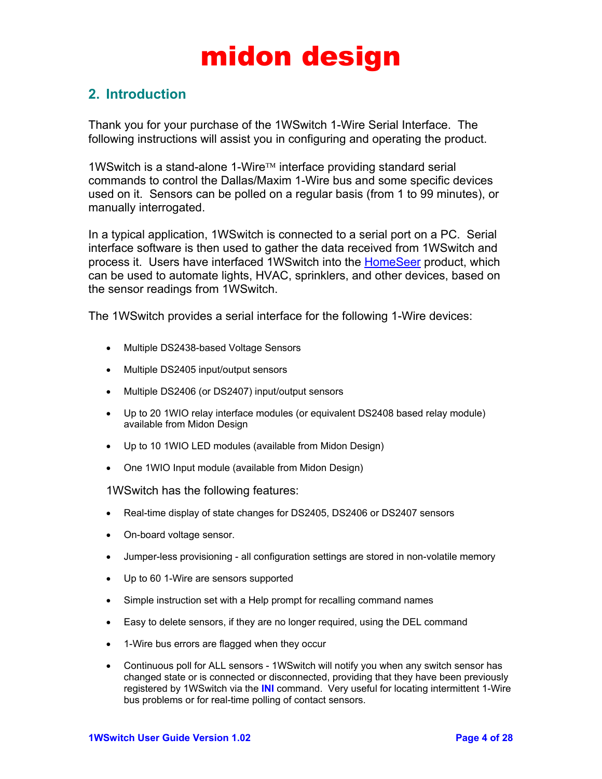### **2. Introduction**

Thank you for your purchase of the 1WSwitch 1-Wire Serial Interface. The following instructions will assist you in configuring and operating the product.

1WSwitch is a stand-alone 1-Wire™ interface providing standard serial commands to control the Dallas/Maxim 1-Wire bus and some specific devices used on it. Sensors can be polled on a regular basis (from 1 to 99 minutes), or manually interrogated.

In a typical application, 1WSwitch is connected to a serial port on a PC. Serial interface software is then used to gather the data received from 1WSwitch and process it. Users have interfaced 1WS witch into the HomeSeer product, which can be used to automate lights, HVAC, sprinklers, and other devices, based on the sensor readings from 1WSwitch.

The 1WSwitch provides a serial interface for the following 1-Wire devices:

- Multiple DS2438-based Voltage Sensors
- Multiple DS2405 input/output sensors
- Multiple DS2406 (or DS2407) input/output sensors
- Up to 20 1WIO relay interface modules (or equivalent DS2408 based relay module) available from Midon Design
- Up to 10 1WIO LED modules (available from Midon Design)
- One 1WIO Input module (available from Midon Design)

1WSwitch has the following features:

- Real-time display of state changes for DS2405, DS2406 or DS2407 sensors
- On-board voltage sensor.
- Jumper-less provisioning all configuration settings are stored in non-volatile memory
- Up to 60 1-Wire are sensors supported
- Simple instruction set with a Help prompt for recalling command names
- Easy to delete sensors, if they are no longer required, using the DEL command
- 1-Wire bus errors are flagged when they occur
- Continuous poll for ALL sensors 1WSwitch will notify you when any switch sensor has changed state or is connected or disconnected, providing that they have been previously registered by 1WSwitch via the **INI** command. Very useful for locating intermittent 1-Wire bus problems or for real-time polling of contact sensors.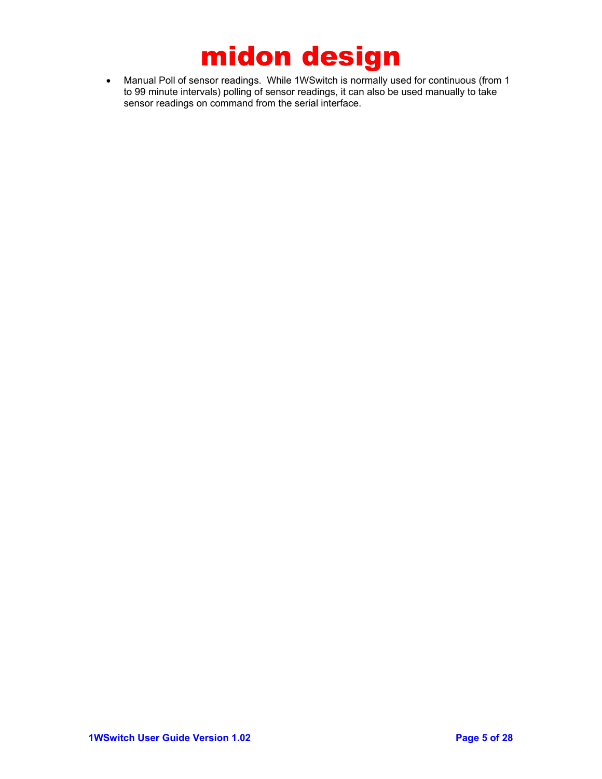• Manual Poll of sensor readings. While 1WSwitch is normally used for continuous (from 1 to 99 minute intervals) polling of sensor readings, it can also be used manually to take sensor readings on command from the serial interface.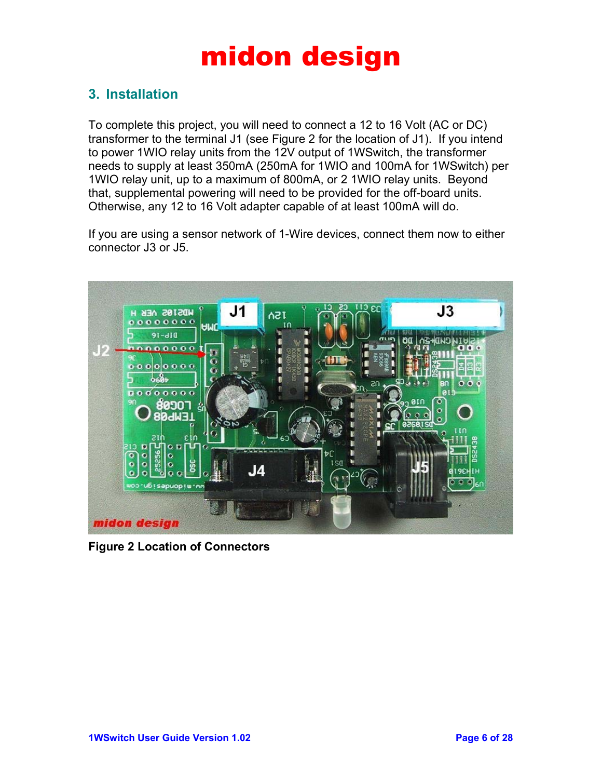### **3. Installation**

To complete this project, you will need to connect a 12 to 16 Volt (AC or DC) transformer to the terminal J1 (see Figure 2 for the location of J1). If you intend to power 1WIO relay units from the 12V output of 1WSwitch, the transformer needs to supply at least 350mA (250mA for 1WIO and 100mA for 1WSwitch) per 1WIO relay unit, up to a maximum of 800mA, or 2 1WIO relay units. Beyond that, supplemental powering will need to be provided for the off-board units. Otherwise, any 12 to 16 Volt adapter capable of at least 100mA will do.

If you are using a sensor network of 1-Wire devices, connect them now to either connector J3 or J5.



**Figure 2 Location of Connectors**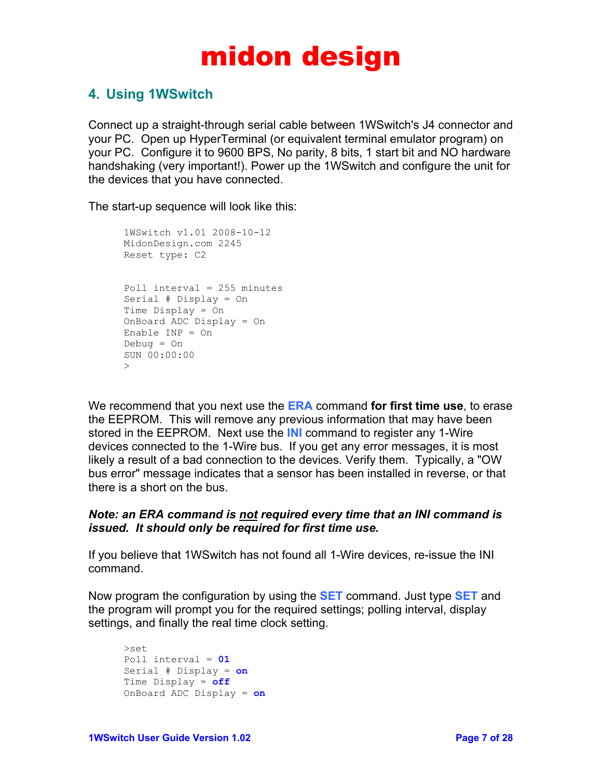### **4. Using 1WSwitch**

Connect up a straight-through serial cable between 1WSwitch's J4 connector and your PC. Open up HyperTerminal (or equivalent terminal emulator program) on your PC. Configure it to 9600 BPS, No parity, 8 bits, 1 start bit and NO hardware handshaking (very important!). Power up the 1WSwitch and configure the unit for the devices that you have connected.

The start-up sequence will look like this:

```
1WSwitch v1.01 2008-10-12 
MidonDesign.com 2245 
Reset type: C2 
Poll interval = 255 minutes 
Serial # Display = On 
Time Display = On 
OnBoard ADC Display = On 
Enable INP = On 
Debug = On 
SUN 00:00:00 
\rightarrow
```
We recommend that you next use the **ERA** command **for first time use**, to erase the EEPROM. This will remove any previous information that may have been stored in the EEPROM. Next use the **INI** command to register any 1-Wire devices connected to the 1-Wire bus. If you get any error messages, it is most likely a result of a bad connection to the devices. Verify them. Typically, a "OW bus error" message indicates that a sensor has been installed in reverse, or that there is a short on the bus.

#### *Note: an ERA command is not required every time that an INI command is issued. It should only be required for first time use.*

If you believe that 1WSwitch has not found all 1-Wire devices, re-issue the INI command.

Now program the configuration by using the **SET** command. Just type **SET** and the program will prompt you for the required settings; polling interval, display settings, and finally the real time clock setting.

```
>set 
Poll interval = 01
Serial # Display = on
Time Display = off
OnBoard ADC Display = on
```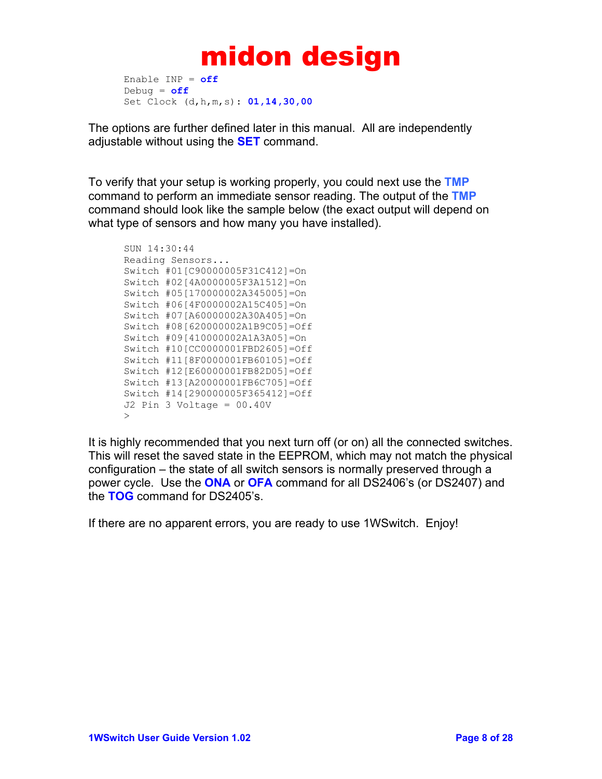```
Enable INP = off
Debug = off
Set Clock (d,h,m,s): 01,14,30,00
```
The options are further defined later in this manual. All are independently adjustable without using the **SET** command.

To verify that your setup is working properly, you could next use the **TMP** command to perform an immediate sensor reading. The output of the **TMP** command should look like the sample below (the exact output will depend on what type of sensors and how many you have installed).

```
SUN 14:30:44 
Reading Sensors... 
Switch #01[C90000005F31C412]=On 
Switch #02[4A0000005F3A1512]=On 
Switch #05[170000002A345005]=On 
Switch #06[4F0000002A15C405]=On 
Switch #07[A60000002A30A405]=On 
Switch #08[620000002A1B9C05]=Off 
Switch #09[410000002A1A3A05]=On 
Switch #10[CC0000001FBD2605]=Off 
Switch #11[8F0000001FB60105]=Off 
Switch #12[E60000001FB82D05]=Off 
Switch #13[A20000001FB6C705]=Off 
Switch #14[290000005F365412]=Off 
J2 Pin 3 Voltage = 00.40V 
\rightarrow
```
It is highly recommended that you next turn off (or on) all the connected switches. This will reset the saved state in the EEPROM, which may not match the physical configuration – the state of all switch sensors is normally preserved through a power cycle. Use the **ONA** or **OFA** command for all DS2406's (or DS2407) and the **TOG** command for DS2405's.

If there are no apparent errors, you are ready to use 1WSwitch. Enjoy!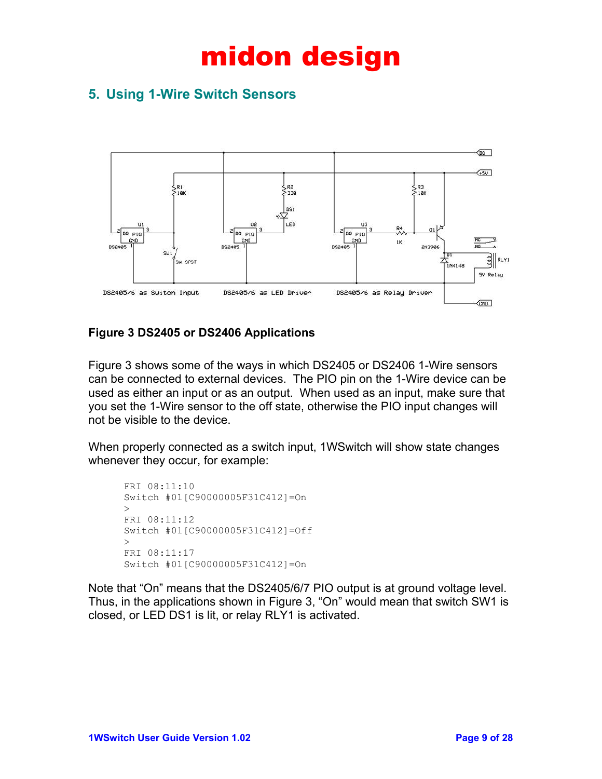### **5. Using 1-Wire Switch Sensors**



#### **Figure 3 DS2405 or DS2406 Applications**

Figure 3 shows some of the ways in which DS2405 or DS2406 1-Wire sensors can be connected to external devices. The PIO pin on the 1-Wire device can be used as either an input or as an output. When used as an input, make sure that you set the 1-Wire sensor to the off state, otherwise the PIO input changes will not be visible to the device.

When properly connected as a switch input, 1WSwitch will show state changes whenever they occur, for example:

```
FRI 08:11:10 
Switch #01[C90000005F31C412]=On 
\geqFRI 08:11:12 
Switch #01[C90000005F31C412]=Off 
\rightarrowFRI 08:11:17 
Switch #01[C90000005F31C412]=On
```
Note that "On" means that the DS2405/6/7 PIO output is at ground voltage level. Thus, in the applications shown in Figure 3, "On" would mean that switch SW1 is closed, or LED DS1 is lit, or relay RLY1 is activated.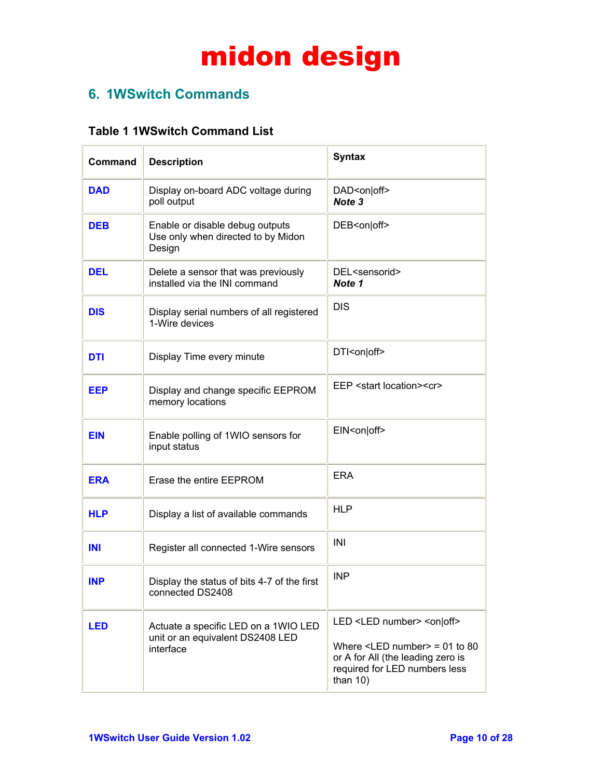### **6. 1WSwitch Commands**

### **Table 1 1WSwitch Command List**

| Command    | <b>Description</b>                                                                    | <b>Syntax</b>                                                                                                                                                                                                  |
|------------|---------------------------------------------------------------------------------------|----------------------------------------------------------------------------------------------------------------------------------------------------------------------------------------------------------------|
| <b>DAD</b> | Display on-board ADC voltage during<br>poll output                                    | DAD <on off><br/>Note 3</on off>                                                                                                                                                                               |
| <b>DEB</b> | Enable or disable debug outputs<br>Use only when directed to by Midon<br>Design       | DEB <on off></on off>                                                                                                                                                                                          |
| <b>DEL</b> | Delete a sensor that was previously<br>installed via the INI command                  | DEL <sensorid><br/>Note 1</sensorid>                                                                                                                                                                           |
| <b>DIS</b> | Display serial numbers of all registered<br>1-Wire devices                            | <b>DIS</b>                                                                                                                                                                                                     |
| <b>DTI</b> | Display Time every minute                                                             | DTI <on off></on off>                                                                                                                                                                                          |
| <b>EEP</b> | Display and change specific EEPROM<br>memory locations                                | EEP <start location=""><cr></cr></start>                                                                                                                                                                       |
| <b>EIN</b> | Enable polling of 1WIO sensors for<br>input status                                    | EIN <on off></on off>                                                                                                                                                                                          |
| <b>ERA</b> | Erase the entire EEPROM                                                               | <b>ERA</b>                                                                                                                                                                                                     |
| <b>HLP</b> | Display a list of available commands                                                  | <b>HLP</b>                                                                                                                                                                                                     |
| <b>INI</b> | Register all connected 1-Wire sensors                                                 | INI                                                                                                                                                                                                            |
| <b>INP</b> | Display the status of bits 4-7 of the first<br>connected DS2408                       | <b>INP</b>                                                                                                                                                                                                     |
| <b>LED</b> | Actuate a specific LED on a 1WIO LED<br>unit or an equivalent DS2408 LED<br>interface | LED <led number=""> <on off><br/>Where <math>\le</math>LED number<math>&gt;</math> = 01 to 80<br/>or A for All (the leading zero is<br/>required for LED numbers less<br/>than <math>10</math>)</on off></led> |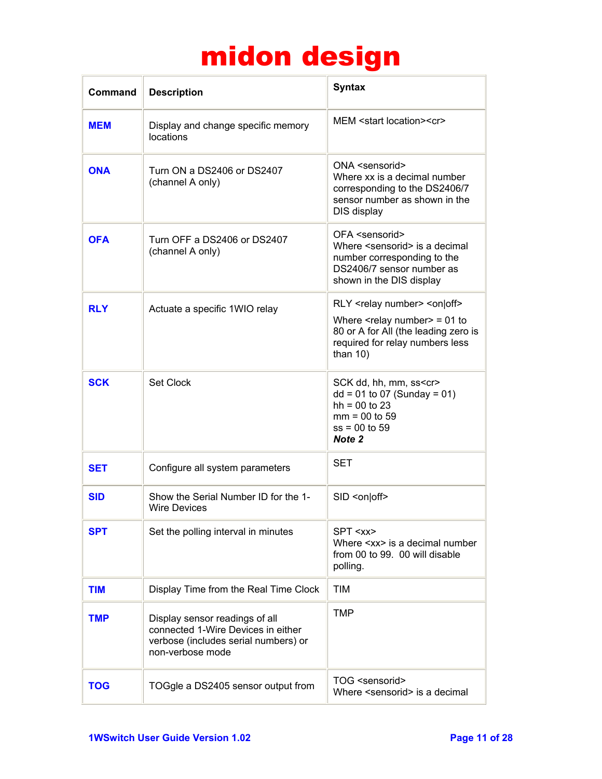| Command    | <b>Description</b>                                                                                                               | <b>Syntax</b>                                                                                                                                                                                                            |
|------------|----------------------------------------------------------------------------------------------------------------------------------|--------------------------------------------------------------------------------------------------------------------------------------------------------------------------------------------------------------------------|
| <b>MEM</b> | Display and change specific memory<br>locations                                                                                  | MEM <start location=""><cr></cr></start>                                                                                                                                                                                 |
| <b>ONA</b> | Turn ON a DS2406 or DS2407<br>(channel A only)                                                                                   | ONA <sensorid><br/>Where xx is a decimal number<br/>corresponding to the DS2406/7<br/>sensor number as shown in the<br/>DIS display</sensorid>                                                                           |
| <b>OFA</b> | Turn OFF a DS2406 or DS2407<br>(channel A only)                                                                                  | OFA <sensorid><br/>Where <sensorid> is a decimal<br/>number corresponding to the<br/>DS2406/7 sensor number as<br/>shown in the DIS display</sensorid></sensorid>                                                        |
| <b>RLY</b> | Actuate a specific 1WIO relay                                                                                                    | RLY <relay number=""> <on off><br/>Where <math>\leq</math>relay number <math>&gt;</math> = 01 to<br/>80 or A for All (the leading zero is<br/>required for relay numbers less<br/>than <math>10</math>)</on off></relay> |
| <b>SCK</b> | Set Clock                                                                                                                        | SCK dd, hh, mm, ss <cr><br/><math>dd = 01</math> to 07 (Sunday = 01)<br/><math>hh = 00 to 23</math><br/><math>mm = 00 to 59</math><br/><math>ss = 00</math> to 59<br/>Note 2</cr>                                        |
| <b>SET</b> | Configure all system parameters                                                                                                  | SET                                                                                                                                                                                                                      |
| <b>SID</b> | Show the Serial Number ID for the 1-<br><b>Wire Devices</b>                                                                      | SID <on off></on off>                                                                                                                                                                                                    |
| <b>SPT</b> | Set the polling interval in minutes                                                                                              | SPT <xx><br/>Where <xx> is a decimal number<br/>from 00 to 99. 00 will disable<br/>polling.</xx></xx>                                                                                                                    |
| <b>TIM</b> | Display Time from the Real Time Clock                                                                                            | <b>TIM</b>                                                                                                                                                                                                               |
| <b>TMP</b> | Display sensor readings of all<br>connected 1-Wire Devices in either<br>verbose (includes serial numbers) or<br>non-verbose mode | TMP                                                                                                                                                                                                                      |
| <b>TOG</b> | TOGgle a DS2405 sensor output from                                                                                               | TOG <sensorid><br/>Where <sensorid> is a decimal</sensorid></sensorid>                                                                                                                                                   |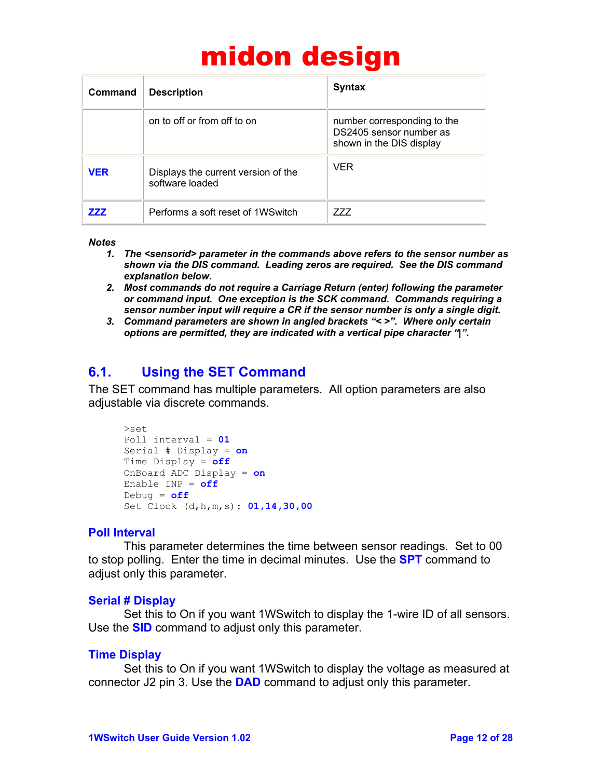| Command    | <b>Description</b>                                     | <b>Syntax</b>                                                                      |
|------------|--------------------------------------------------------|------------------------------------------------------------------------------------|
|            | on to off or from off to on                            | number corresponding to the<br>DS2405 sensor number as<br>shown in the DIS display |
| <b>VER</b> | Displays the current version of the<br>software loaded | <b>VFR</b>                                                                         |
| 777        | Performs a soft reset of 1WSwitch                      | 777                                                                                |

#### *Notes*

- *1. The <sensorid> parameter in the commands above refers to the sensor number as shown via the DIS command. Leading zeros are required. See the DIS command explanation below.*
- *2. Most commands do not require a Carriage Return (enter) following the parameter or command input. One exception is the SCK command. Commands requiring a sensor number input will require a CR if the sensor number is only a single digit.*
- *3. Command parameters are shown in angled brackets "< >". Where only certain options are permitted, they are indicated with a vertical pipe character "|".*

### **6.1. Using the SET Command**

The SET command has multiple parameters. All option parameters are also adjustable via discrete commands.

```
>set 
Poll interval = 01
Serial # Display = on
Time Display = off
OnBoard ADC Display = on
Enable INP = off
Debug = off
Set Clock (d,h,m,s): 01,14,30,00
```
#### **Poll Interval**

This parameter determines the time between sensor readings. Set to 00 to stop polling. Enter the time in decimal minutes. Use the **SPT** command to adjust only this parameter.

#### **Serial # Display**

Set this to On if you want 1WSwitch to display the 1-wire ID of all sensors. Use the **SID** command to adjust only this parameter.

#### **Time Display**

Set this to On if you want 1WSwitch to display the voltage as measured at connector J2 pin 3. Use the **DAD** command to adjust only this parameter.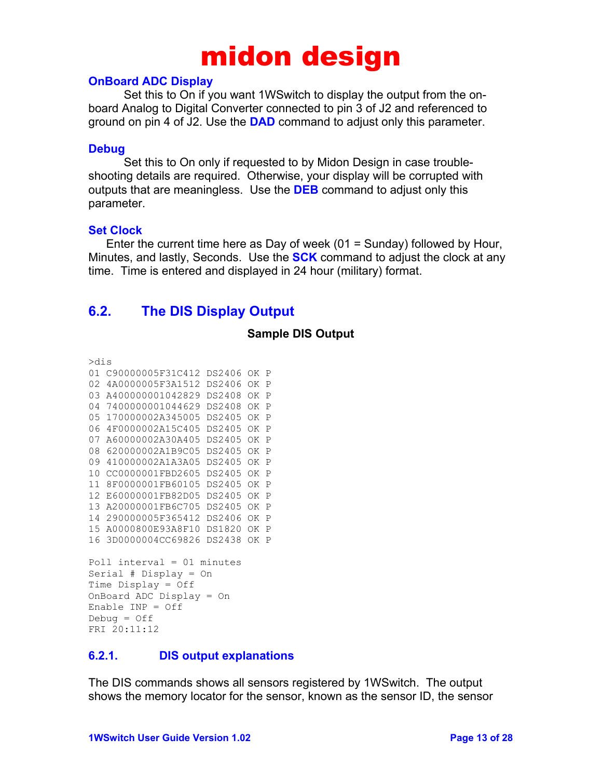#### **OnBoard ADC Display**

Set this to On if you want 1WSwitch to display the output from the onboard Analog to Digital Converter connected to pin 3 of J2 and referenced to ground on pin 4 of J2. Use the **DAD** command to adjust only this parameter.

#### **Debug**

Set this to On only if requested to by Midon Design in case troubleshooting details are required. Otherwise, your display will be corrupted with outputs that are meaningless. Use the **DEB** command to adjust only this parameter.

#### **Set Clock**

Enter the current time here as Day of week  $(01 = Sunday)$  followed by Hour, Minutes, and lastly, Seconds. Use the **SCK** command to adjust the clock at any time. Time is entered and displayed in 24 hour (military) format.

### **6.2. The DIS Display Output**

#### **Sample DIS Output**

>dis

01 C90000005F31C412 DS2406 OK P 02 4A0000005F3A1512 DS2406 OK P 03 A400000001042829 DS2408 OK P 04 7400000001044629 DS2408 OK P 05 170000002A345005 DS2405 OK P 06 4F0000002A15C405 DS2405 OK P 07 A60000002A30A405 DS2405 OK P 08 620000002A1B9C05 DS2405 OK P 09 410000002A1A3A05 DS2405 OK P 10 CC0000001FBD2605 DS2405 OK P 11 8F0000001FB60105 DS2405 OK P 12 E60000001FB82D05 DS2405 OK P 13 A20000001FB6C705 DS2405 OK P 14 290000005F365412 DS2406 OK P 15 A0000800E93A8F10 DS1820 OK P 16 3D0000004CC69826 DS2438 OK P

```
Poll interval = 01 minutes 
Serial # Display = On 
Time Display = Off 
OnBoard ADC Display = On 
Enable INP = Off 
Debuq = OffFRI 20:11:12
```
#### **6.2.1. DIS output explanations**

The DIS commands shows all sensors registered by 1WSwitch. The output shows the memory locator for the sensor, known as the sensor ID, the sensor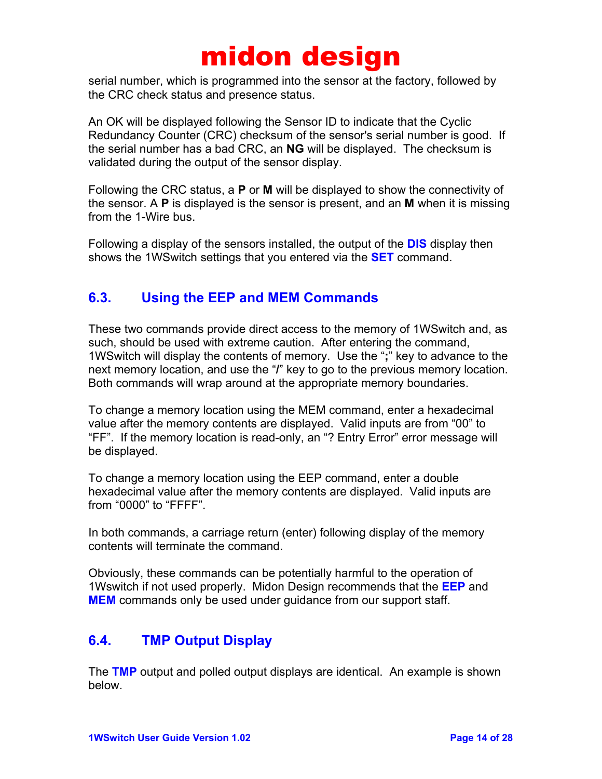serial number, which is programmed into the sensor at the factory, followed by the CRC check status and presence status.

An OK will be displayed following the Sensor ID to indicate that the Cyclic Redundancy Counter (CRC) checksum of the sensor's serial number is good. If the serial number has a bad CRC, an **NG** will be displayed. The checksum is validated during the output of the sensor display.

Following the CRC status, a **P** or **M** will be displayed to show the connectivity of the sensor. A **P** is displayed is the sensor is present, and an **M** when it is missing from the 1-Wire bus.

Following a display of the sensors installed, the output of the **DIS** display then shows the 1WSwitch settings that you entered via the **SET** command.

### **6.3. Using the EEP and MEM Commands**

These two commands provide direct access to the memory of 1WSwitch and, as such, should be used with extreme caution. After entering the command, 1WSwitch will display the contents of memory. Use the "**;**" key to advance to the next memory location, and use the "**/**" key to go to the previous memory location. Both commands will wrap around at the appropriate memory boundaries.

To change a memory location using the MEM command, enter a hexadecimal value after the memory contents are displayed. Valid inputs are from "00" to "FF". If the memory location is read-only, an "? Entry Error" error message will be displayed.

To change a memory location using the EEP command, enter a double hexadecimal value after the memory contents are displayed. Valid inputs are from "0000" to "FFFF".

In both commands, a carriage return (enter) following display of the memory contents will terminate the command.

Obviously, these commands can be potentially harmful to the operation of 1Wswitch if not used properly. Midon Design recommends that the **EEP** and **MEM** commands only be used under guidance from our support staff.

### **6.4. TMP Output Display**

The **TMP** output and polled output displays are identical. An example is shown below.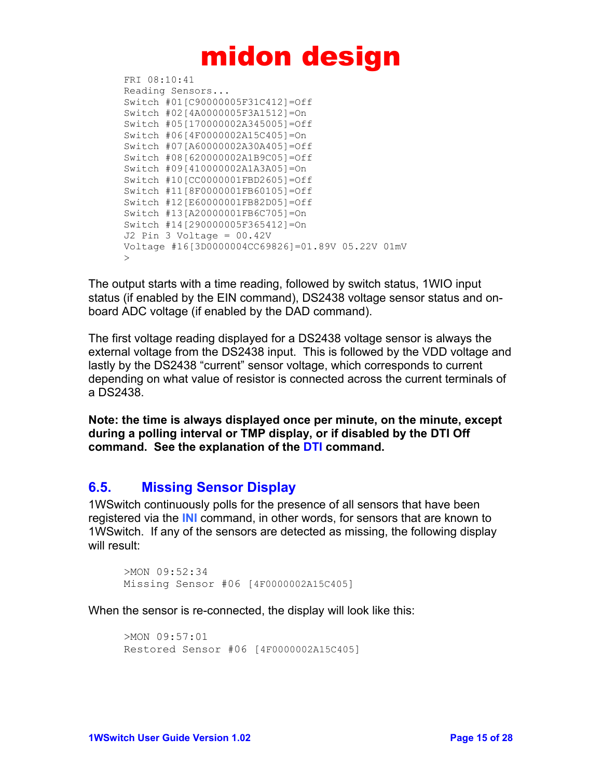```
FRI 08:10:41 
Reading Sensors... 
Switch #01[C90000005F31C412]=Off 
Switch #02[4A0000005F3A1512]=On 
Switch #05[170000002A345005]=Off 
Switch #06[4F0000002A15C405]=On 
Switch #07[A60000002A30A405]=Off 
Switch #08[620000002A1B9C05]=Off 
Switch #09[410000002A1A3A05]=On 
Switch #10[CC0000001FBD2605]=Off 
Switch #11[8F0000001FB60105]=Off 
Switch #12[E60000001FB82D05]=Off 
Switch #13[A20000001FB6C705]=On 
Switch #14[290000005F365412]=On 
J2 Pin 3 Voltage = 00.42V 
Voltage #16[3D0000004CC69826]=01.89V 05.22V 01mV 
>
```
The output starts with a time reading, followed by switch status, 1WIO input status (if enabled by the EIN command), DS2438 voltage sensor status and onboard ADC voltage (if enabled by the DAD command).

The first voltage reading displayed for a DS2438 voltage sensor is always the external voltage from the DS2438 input. This is followed by the VDD voltage and lastly by the DS2438 "current" sensor voltage, which corresponds to current depending on what value of resistor is connected across the current terminals of a DS2438.

**Note: the time is always displayed once per minute, on the minute, except during a polling interval or TMP display, or if disabled by the DTI Off command. See the explanation of the DTI command.** 

### **6.5. Missing Sensor Display**

1WSwitch continuously polls for the presence of all sensors that have been registered via the **INI** command, in other words, for sensors that are known to 1WSwitch. If any of the sensors are detected as missing, the following display will result:

```
>MON 09:52:34 
Missing Sensor #06 [4F0000002A15C405]
```
When the sensor is re-connected, the display will look like this:

```
>MON 09:57:01 
Restored Sensor #06 [4F0000002A15C405]
```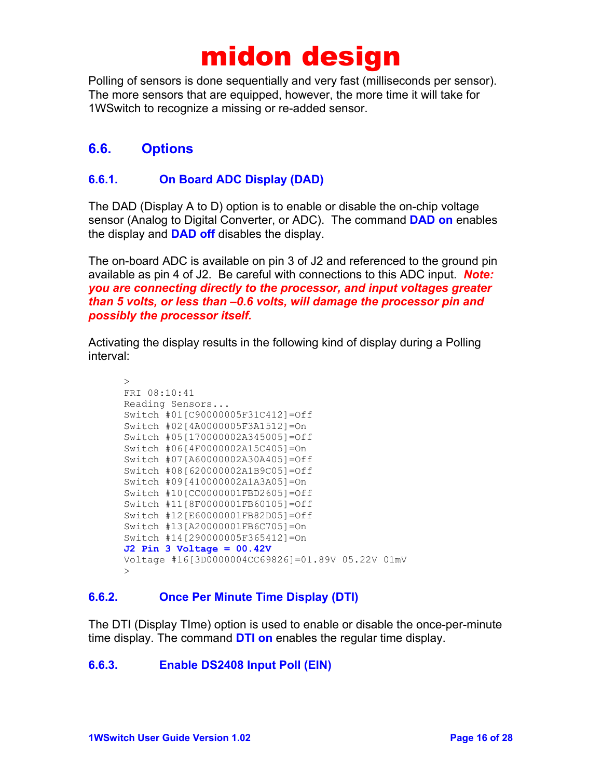Polling of sensors is done sequentially and very fast (milliseconds per sensor). The more sensors that are equipped, however, the more time it will take for 1WSwitch to recognize a missing or re-added sensor.

### **6.6. Options**

#### **6.6.1. On Board ADC Display (DAD)**

The DAD (Display A to D) option is to enable or disable the on-chip voltage sensor (Analog to Digital Converter, or ADC). The command **DAD on** enables the display and **DAD off** disables the display.

The on-board ADC is available on pin 3 of J2 and referenced to the ground pin available as pin 4 of J2. Be careful with connections to this ADC input. *Note: you are connecting directly to the processor, and input voltages greater than 5 volts, or less than –0.6 volts, will damage the processor pin and possibly the processor itself.*

Activating the display results in the following kind of display during a Polling interval:

```
\geqFRI 08:10:41 
Reading Sensors... 
Switch #01[C90000005F31C412]=Off 
Switch #02[4A0000005F3A1512]=On 
Switch #05[170000002A345005]=Off 
Switch #06[4F0000002A15C405]=On 
Switch #07[A60000002A30A405]=Off 
Switch #08[620000002A1B9C05]=Off 
Switch #09[410000002A1A3A05]=On 
Switch #10[CC0000001FBD2605]=Off 
Switch #11[8F0000001FB60105]=Off 
Switch #12[E60000001FB82D05]=Off 
Switch #13[A20000001FB6C705]=On 
Switch #14[290000005F365412]=On 
J2 Pin 3 Voltage = 00.42V 
Voltage #16[3D0000004CC69826]=01.89V 05.22V 01mV 
>
```
#### **6.6.2. Once Per Minute Time Display (DTI)**

The DTI (Display TIme) option is used to enable or disable the once-per-minute time display. The command **DTI on** enables the regular time display.

#### **6.6.3. Enable DS2408 Input Poll (EIN)**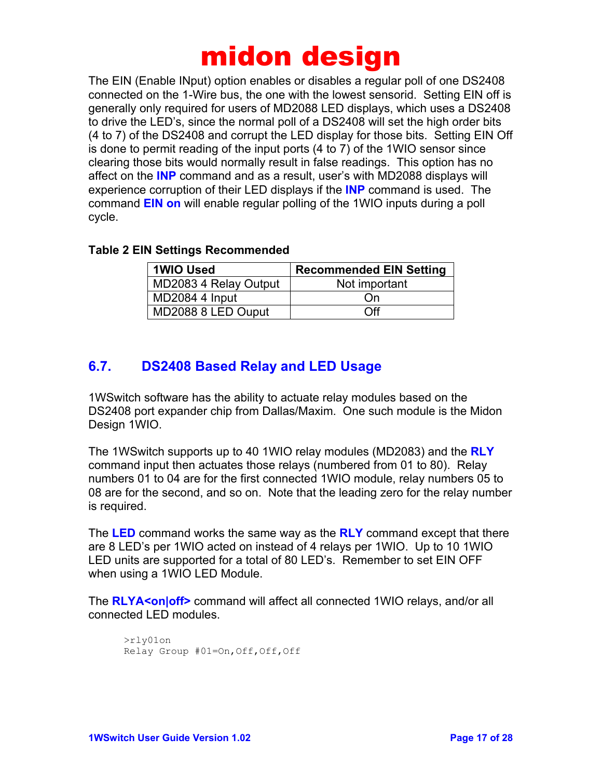The EIN (Enable INput) option enables or disables a regular poll of one DS2408 connected on the 1-Wire bus, the one with the lowest sensorid. Setting EIN off is generally only required for users of MD2088 LED displays, which uses a DS2408 to drive the LED's, since the normal poll of a DS2408 will set the high order bits (4 to 7) of the DS2408 and corrupt the LED display for those bits. Setting EIN Off is done to permit reading of the input ports (4 to 7) of the 1WIO sensor since clearing those bits would normally result in false readings. This option has no affect on the **INP** command and as a result, user's with MD2088 displays will experience corruption of their LED displays if the **INP** command is used. The command **EIN on** will enable regular polling of the 1WIO inputs during a poll cycle.

#### **Table 2 EIN Settings Recommended**

| <b>1WIO Used</b>      | <b>Recommended EIN Setting</b> |
|-----------------------|--------------------------------|
| MD2083 4 Relay Output | Not important                  |
| MD2084 4 Input        | On                             |
| MD2088 8 LED Ouput    | ∩ff                            |

### **6.7. DS2408 Based Relay and LED Usage**

1WSwitch software has the ability to actuate relay modules based on the DS2408 port expander chip from Dallas/Maxim. One such module is the Midon Design 1WIO.

The 1WSwitch supports up to 40 1WIO relay modules (MD2083) and the **RLY** command input then actuates those relays (numbered from 01 to 80). Relay numbers 01 to 04 are for the first connected 1WIO module, relay numbers 05 to 08 are for the second, and so on. Note that the leading zero for the relay number is required.

The **LED** command works the same way as the **RLY** command except that there are 8 LED's per 1WIO acted on instead of 4 relays per 1WIO. Up to 10 1WIO LED units are supported for a total of 80 LED's. Remember to set EIN OFF when using a 1WIO LED Module.

The **RLYA<on|off>** command will affect all connected 1WIO relays, and/or all connected LED modules.

```
>rly01on 
Relay Group #01=On,Off,Off,Off
```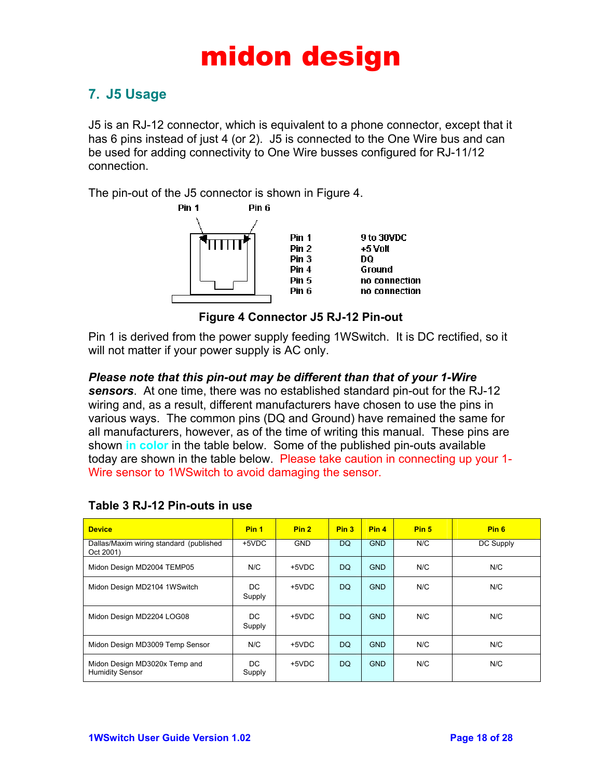### **7. J5 Usage**

J5 is an RJ-12 connector, which is equivalent to a phone connector, except that it has 6 pins instead of just 4 (or 2). J5 is connected to the One Wire bus and can be used for adding connectivity to One Wire busses configured for RJ-11/12 connection.

The pin-out of the J5 connector is shown in Figure 4.



**Figure 4 Connector J5 RJ-12 Pin-out** 

Pin 1 is derived from the power supply feeding 1WSwitch. It is DC rectified, so it will not matter if your power supply is AC only.

#### *Please note that this pin-out may be different than that of your 1-Wire*

*sensors*. At one time, there was no established standard pin-out for the RJ-12 wiring and, as a result, different manufacturers have chosen to use the pins in various ways. The common pins (DQ and Ground) have remained the same for all manufacturers, however, as of the time of writing this manual. These pins are shown **in color** in the table below. Some of the published pin-outs available today are shown in the table below. Please take caution in connecting up your 1- Wire sensor to 1WSwitch to avoid damaging the sensor.

| <b>Device</b>                                           | Pin <sub>1</sub> | Pin <sub>2</sub> | Pin <sub>3</sub> | Pin <sub>4</sub> | Pin <sub>5</sub> | Pin <sub>6</sub> |
|---------------------------------------------------------|------------------|------------------|------------------|------------------|------------------|------------------|
| Dallas/Maxim wiring standard (published<br>Oct 2001)    | $+5VDC$          | <b>GND</b>       | DQ.              | <b>GND</b>       | N/C              | DC Supply        |
| Midon Design MD2004 TEMP05                              | N/C              | +5VDC            | <b>DQ</b>        | <b>GND</b>       | N/C              | N/C              |
| Midon Design MD2104 1WSwitch                            | DC<br>Supply     | +5VDC            | DQ.              | <b>GND</b>       | N/C              | N/C              |
| Midon Design MD2204 LOG08                               | DC.<br>Supply    | +5VDC            | DQ.              | <b>GND</b>       | N/C              | N/C              |
| Midon Design MD3009 Temp Sensor                         | N/C              | +5VDC            | <b>DQ</b>        | <b>GND</b>       | N/C              | N/C              |
| Midon Design MD3020x Temp and<br><b>Humidity Sensor</b> | DC.<br>Supply    | +5VDC            | DQ.              | <b>GND</b>       | N/C              | N/C              |

#### **Table 3 RJ-12 Pin-outs in use**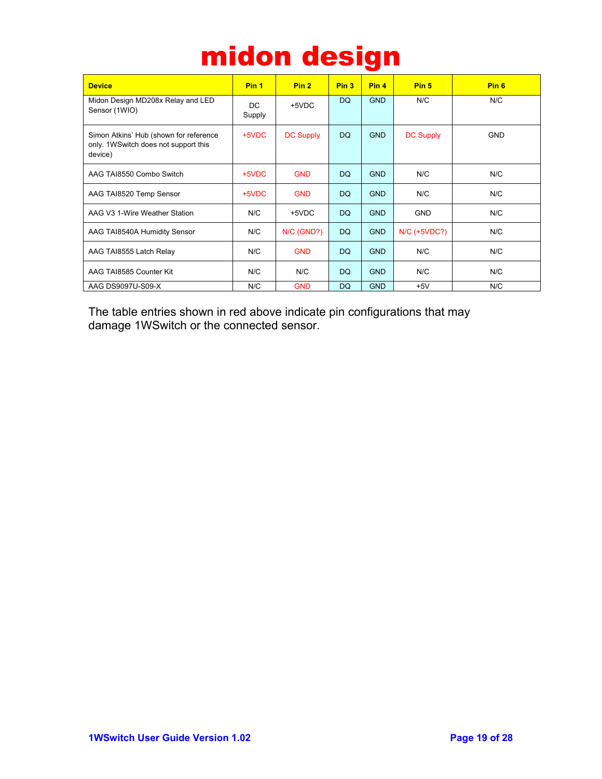| midon design |
|--------------|
|--------------|

| <b>Device</b>                                                                             | Pin <sub>1</sub> | Pin <sub>2</sub> | Pin <sub>3</sub> | Pin <sub>4</sub> | Pin <sub>5</sub>    | Pin <sub>6</sub> |
|-------------------------------------------------------------------------------------------|------------------|------------------|------------------|------------------|---------------------|------------------|
| Midon Design MD208x Relay and LED<br>Sensor (1WIO)                                        | DC<br>Supply     | +5VDC            | <b>DQ</b>        | <b>GND</b>       | N/C                 | N/C              |
| Simon Atkins' Hub (shown for reference<br>only. 1WSwitch does not support this<br>device) | +5VDC            | <b>DC Supply</b> | DQ.              | <b>GND</b>       | <b>DC Supply</b>    | <b>GND</b>       |
| AAG TAI8550 Combo Switch                                                                  | +5VDC            | <b>GND</b>       | <b>DQ</b>        | <b>GND</b>       | N/C                 | N/C              |
| AAG TAI8520 Temp Sensor                                                                   | +5VDC            | <b>GND</b>       | DQ.              | <b>GND</b>       | N/C                 | N/C              |
| AAG V3 1-Wire Weather Station                                                             | N/C              | +5VDC            | <b>DQ</b>        | <b>GND</b>       | <b>GND</b>          | N/C              |
| AAG TAI8540A Humidity Sensor                                                              | N/C              | N/C (GND?)       | <b>DQ</b>        | <b>GND</b>       | <b>N/C (+5VDC?)</b> | N/C              |
| AAG TAI8555 Latch Relay                                                                   | N/C              | <b>GND</b>       | DQ.              | <b>GND</b>       | N/C                 | N/C              |
| AAG TAI8585 Counter Kit                                                                   | N/C              | N/C              | DQ.              | <b>GND</b>       | N/C                 | N/C              |
| AAG DS9097U-S09-X                                                                         | N/C              | <b>GND</b>       | <b>DQ</b>        | <b>GND</b>       | $+5V$               | N/C              |

The table entries shown in red above indicate pin configurations that may damage 1WSwitch or the connected sensor.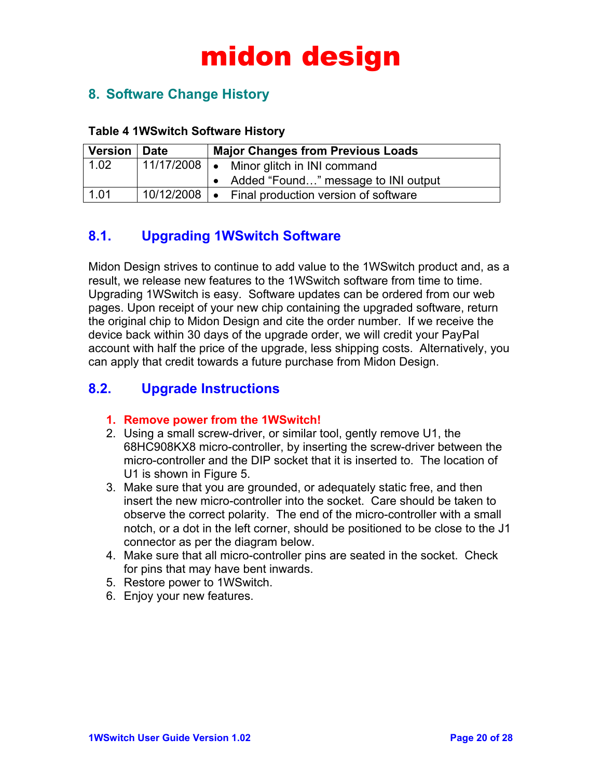### **8. Software Change History**

#### **Table 4 1WSwitch Software History**

| <b>Version</b> | Date | <b>Major Changes from Previous Loads</b>            |  |  |  |
|----------------|------|-----------------------------------------------------|--|--|--|
| 1.02           |      | 11/17/2008   • Minor glitch in INI command          |  |  |  |
|                |      | • Added "Found" message to INI output               |  |  |  |
| 1.01           |      | 10/12/2008   • Final production version of software |  |  |  |

### **8.1. Upgrading 1WSwitch Software**

Midon Design strives to continue to add value to the 1WSwitch product and, as a result, we release new features to the 1WSwitch software from time to time. Upgrading 1WSwitch is easy. Software updates can be ordered from our web pages. Upon receipt of your new chip containing the upgraded software, return the original chip to Midon Design and cite the order number. If we receive the device back within 30 days of the upgrade order, we will credit your PayPal account with half the price of the upgrade, less shipping costs. Alternatively, you can apply that credit towards a future purchase from Midon Design.

### **8.2. Upgrade Instructions**

#### **1. Remove power from the 1WSwitch!**

- 2. Using a small screw-driver, or similar tool, gently remove U1, the 68HC908KX8 micro-controller, by inserting the screw-driver between the micro-controller and the DIP socket that it is inserted to. The location of U1 is shown in Figure 5.
- 3. Make sure that you are grounded, or adequately static free, and then insert the new micro-controller into the socket. Care should be taken to observe the correct polarity. The end of the micro-controller with a small notch, or a dot in the left corner, should be positioned to be close to the J1 connector as per the diagram below.
- 4. Make sure that all micro-controller pins are seated in the socket. Check for pins that may have bent inwards.
- 5. Restore power to 1WSwitch.
- 6. Enjoy your new features.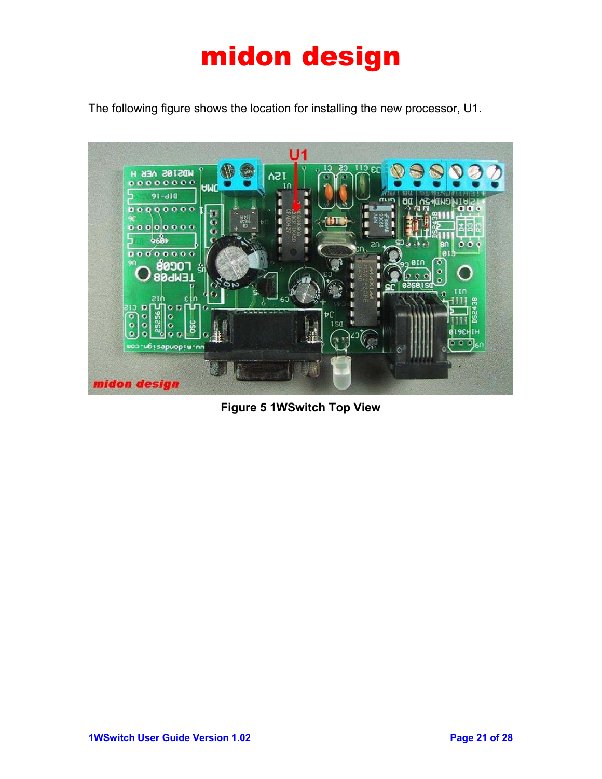The following figure shows the location for installing the new processor, U1.



**Figure 5 1WSwitch Top View**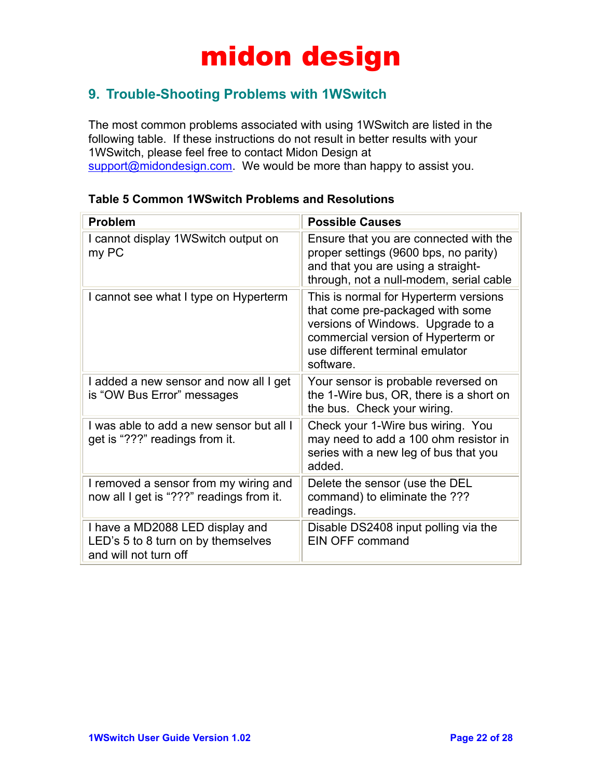### **9. Trouble-Shooting Problems with 1WSwitch**

The most common problems associated with using 1WSwitch are listed in the following table. If these instructions do not result in better results with your 1WSwitch, please feel free to contact Midon Design at support@midondesign.com. We would be more than happy to assist you.

| <b>Problem</b>                                                                                 | <b>Possible Causes</b>                                                                                                                                                                               |
|------------------------------------------------------------------------------------------------|------------------------------------------------------------------------------------------------------------------------------------------------------------------------------------------------------|
| I cannot display 1WS witch output on<br>my PC                                                  | Ensure that you are connected with the<br>proper settings (9600 bps, no parity)<br>and that you are using a straight-<br>through, not a null-modem, serial cable                                     |
| I cannot see what I type on Hyperterm                                                          | This is normal for Hyperterm versions<br>that come pre-packaged with some<br>versions of Windows. Upgrade to a<br>commercial version of Hyperterm or<br>use different terminal emulator<br>software. |
| I added a new sensor and now all I get<br>is "OW Bus Error" messages                           | Your sensor is probable reversed on<br>the 1-Wire bus, OR, there is a short on<br>the bus. Check your wiring.                                                                                        |
| I was able to add a new sensor but all I<br>get is "???" readings from it.                     | Check your 1-Wire bus wiring. You<br>may need to add a 100 ohm resistor in<br>series with a new leg of bus that you<br>added.                                                                        |
| I removed a sensor from my wiring and<br>now all I get is "???" readings from it.              | Delete the sensor (use the DEL<br>command) to eliminate the ???<br>readings.                                                                                                                         |
| I have a MD2088 LED display and<br>LED's 5 to 8 turn on by themselves<br>and will not turn off | Disable DS2408 input polling via the<br><b>EIN OFF command</b>                                                                                                                                       |

#### **Table 5 Common 1WSwitch Problems and Resolutions**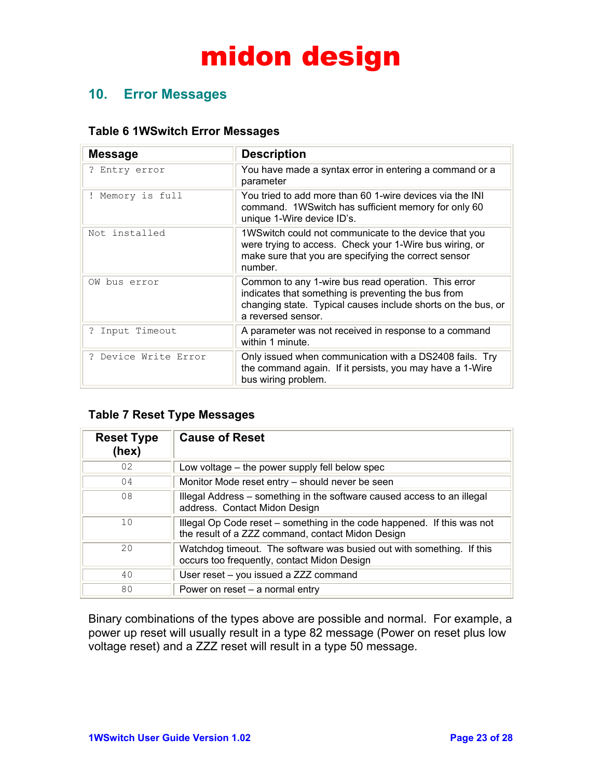### **10. Error Messages**

#### **Table 6 1WSwitch Error Messages**

| <b>Message</b>       | <b>Description</b>                                                                                                                                                                               |
|----------------------|--------------------------------------------------------------------------------------------------------------------------------------------------------------------------------------------------|
| ? Entry error        | You have made a syntax error in entering a command or a<br>parameter                                                                                                                             |
| ! Memory is full     | You tried to add more than 60 1-wire devices via the INI<br>command. 1WS witch has sufficient memory for only 60<br>unique 1-Wire device ID's.                                                   |
| Not installed        | 1WS witch could not communicate to the device that you<br>were trying to access. Check your 1-Wire bus wiring, or<br>make sure that you are specifying the correct sensor<br>number.             |
| OW bus error         | Common to any 1-wire bus read operation. This error<br>indicates that something is preventing the bus from<br>changing state. Typical causes include shorts on the bus, or<br>a reversed sensor. |
| ? Input Timeout      | A parameter was not received in response to a command<br>within 1 minute.                                                                                                                        |
| ? Device Write Error | Only issued when communication with a DS2408 fails. Try<br>the command again. If it persists, you may have a 1-Wire<br>bus wiring problem.                                                       |

#### **Table 7 Reset Type Messages**

| <b>Reset Type</b><br>(hex) | <b>Cause of Reset</b>                                                                                                        |
|----------------------------|------------------------------------------------------------------------------------------------------------------------------|
| 02                         | Low voltage – the power supply fell below spec                                                                               |
| 04                         | Monitor Mode reset entry – should never be seen                                                                              |
| 08                         | Illegal Address – something in the software caused access to an illegal<br>address. Contact Midon Design                     |
| 10                         | Illegal Op Code reset – something in the code happened. If this was not<br>the result of a ZZZ command, contact Midon Design |
| 20                         | Watchdog timeout. The software was busied out with something. If this<br>occurs too frequently, contact Midon Design         |
| 40                         | User reset - you issued a ZZZ command                                                                                        |
| 80                         | Power on reset – a normal entry                                                                                              |

Binary combinations of the types above are possible and normal. For example, a power up reset will usually result in a type 82 message (Power on reset plus low voltage reset) and a ZZZ reset will result in a type 50 message.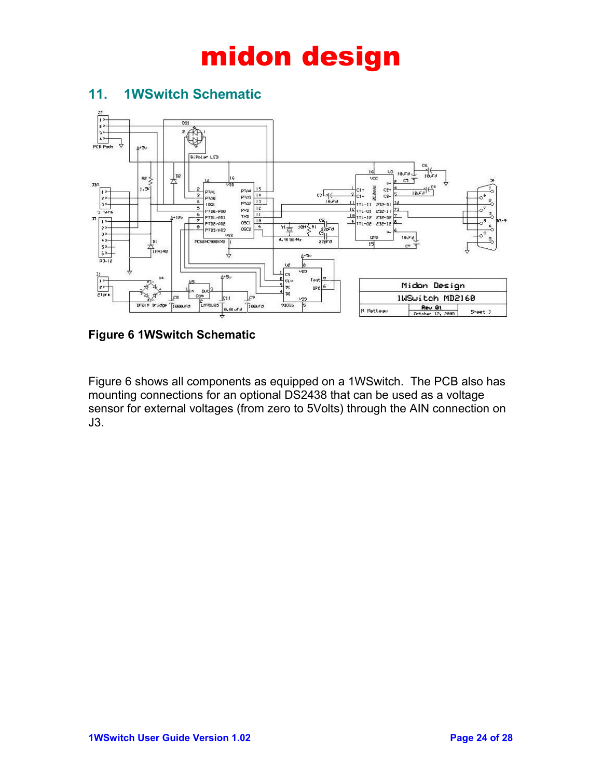

### **11. 1WSwitch Schematic**

**Figure 6 1WSwitch Schematic** 

Figure 6 shows all components as equipped on a 1WSwitch. The PCB also has mounting connections for an optional DS2438 that can be used as a voltage sensor for external voltages (from zero to 5Volts) through the AIN connection on J3.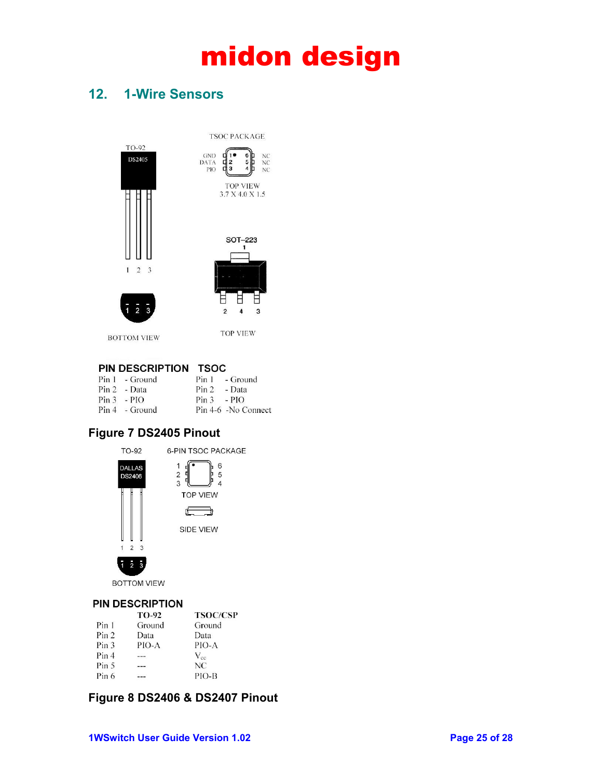NC<br>NC

 $NC$ 

### **12. 1-Wire Sensors**



**BOTTOM VIEW** 

**TOP VIEW** 

#### PIN DESCRIPTION TSOC

| $Pin 1 - Ground$ |                | Pin 1 - Ground      |
|------------------|----------------|---------------------|
| $Pin 2 - Data$   | $Pin 2 - Data$ |                     |
| $Pin 3 - PIO$    | $Pin 3 - PIO$  |                     |
| $Pin 4 - Ground$ |                | Pin 4-6 -No Connect |

#### **Figure 7 DS2405 Pinout**



**BOTTOM VIEW** 

#### **PIN DESCRIPTION**

|                  | <b>TO-92</b> | <b>TSOC/CSP</b> |
|------------------|--------------|-----------------|
| Pin 1            | Ground       | Ground          |
| Pin <sub>2</sub> | Data         | Data            |
| Pin <sub>3</sub> | PIO-A        | PIO-A           |
| Pin 4            |              | $V_{cc}$        |
| Pin <sub>5</sub> |              | NC.             |
| Pin 6            |              | PIO-B           |

#### **Figure 8 DS2406 & DS2407 Pinout**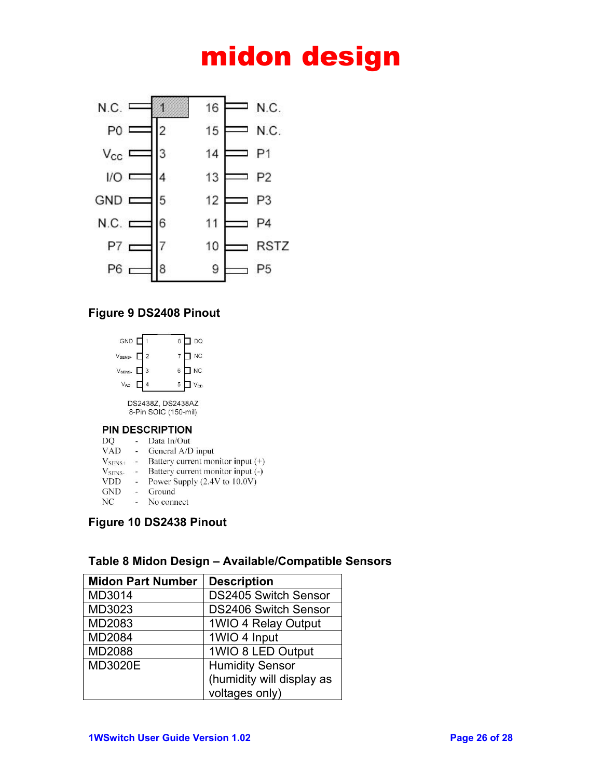

#### **Figure 9 DS2408 Pinout**



DS2438Z, DS2438AZ 8-Pin SOIC (150-mil)

#### **PIN DESCRIPTION**

| DO           |                | Data In/Out                     |
|--------------|----------------|---------------------------------|
| <b>VAD</b>   | <b>College</b> | General A/D input               |
| <b>MAGES</b> |                | $D_{\alpha}$ them around months |

- $V_{\text{SENS+}}$  Battery current monitor input  $(+)$
- V<sub>SENS</sub>. Battery current monitor input (-)
- VDD Power Supply (2.4V to 10.0V)
- GND Ground  $NC$ - No connect

#### **Figure 10 DS2438 Pinout**

### **Table 8 Midon Design – Available/Compatible Sensors**

| <b>Midon Part Number</b> | <b>Description</b>          |
|--------------------------|-----------------------------|
| MD3014                   | <b>DS2405 Switch Sensor</b> |
| MD3023                   | <b>DS2406 Switch Sensor</b> |
| MD2083                   | 1WIO 4 Relay Output         |
| MD2084                   | 1WIO 4 Input                |
| <b>MD2088</b>            | 1WIO 8 LED Output           |
| MD3020E                  | <b>Humidity Sensor</b>      |
|                          | (humidity will display as   |
|                          | voltages only)              |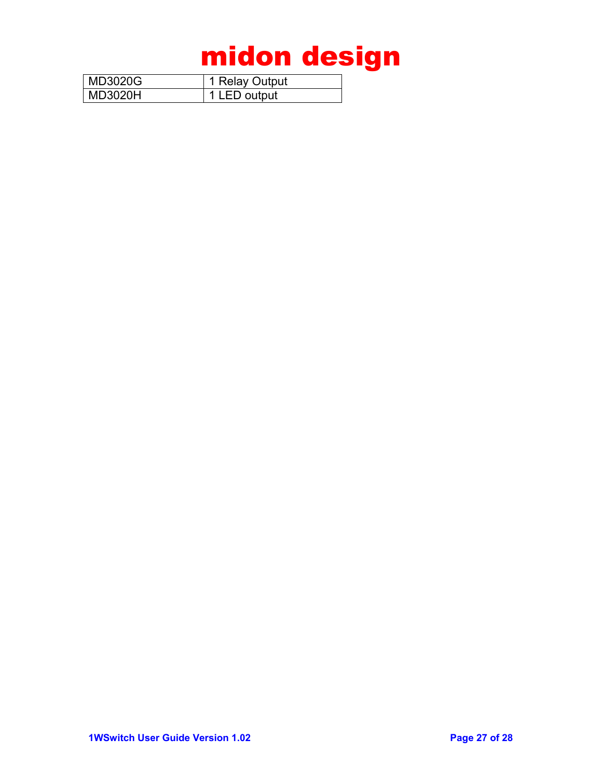| ' MD3020G | 1 Relay Output |
|-----------|----------------|
| l MD3020H | 1 LED output   |